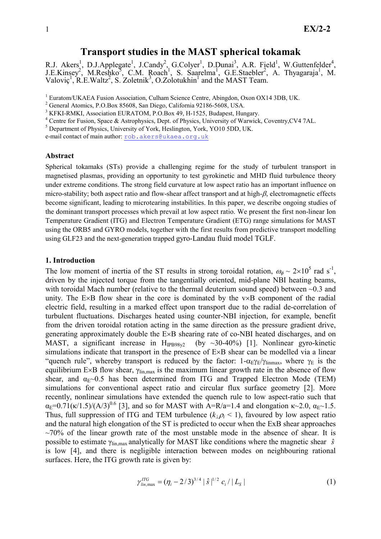# Transport studies in the MAST spherical tokamak

R.J. Akers<sup>1</sup>, D.J.Applegate<sup>1</sup>, J.Candy<sup>2</sup>, G.Colyer<sup>1</sup>, D.Dunai<sup>3</sup>, A.R. Field<sup>1</sup>, W.Guttenfelder<sup>4</sup>, J.E.Kinsey<sup>2</sup>, M.Reshko<sup>5</sup>, C.M. Roach<sup>1</sup>, S. Saarelma<sup>1</sup>, G.E.Staebler<sup>2</sup>, A. Thyagaraja<sup>1</sup>, M. Valoviç<sup>1</sup>, R.E.Waltz<sup>2</sup>, S. Zoletnik<sup>3</sup>, O.Zolotukhin<sup>1</sup> and the MAST Team.

<sup>1</sup> Euratom/UKAEA Fusion Association, Culham Science Centre, Abingdon, Oxon OX14 3DB, UK.

<sup>2</sup> General Atomics, P.O.Box 85608, San Diego, California 92186-5608, USA.

<sup>3</sup> KFKI-RMKI, Association EURATOM, P.O.Box 49, H-1525, Budapest, Hungary.

<sup>4</sup> Centre for Fusion, Space & Astrophysics, Dept. of Physics, University of Warwick, Coventry, CV4 7AL.

<sup>5</sup> Department of Physics, University of York, Heslington, York, YO10 5DD, UK.

e-mail contact of main author: rob.akers@ukaea.org.uk

### Abstract

Spherical tokamaks (STs) provide a challenging regime for the study of turbulent transport in magnetised plasmas, providing an opportunity to test gyrokinetic and MHD fluid turbulence theory under extreme conditions. The strong field curvature at low aspect ratio has an important influence on micro-stability; both aspect ratio and flow-shear affect transport and at high-β, electromagnetic effects become significant, leading to microtearing instabilities. In this paper, we describe ongoing studies of the dominant transport processes which prevail at low aspect ratio. We present the first non-linear Ion Temperature Gradient (ITG) and Electron Temperature Gradient (ETG) range simulations for MAST using the ORB5 and GYRO models, together with the first results from predictive transport modelling using GLF23 and the next-generation trapped gyro-Landau fluid model TGLF.

### 1. Introduction

The low moment of inertia of the ST results in strong toroidal rotation,  $\omega_{\phi} \sim 2 \times 10^5$  rad s<sup>-1</sup>, driven by the injected torque from the tangentially oriented, mid-plane NBI heating beams, with toroidal Mach number (relative to the thermal deuterium sound speed) between  $\sim$ 0.3 and unity. The  $E \times B$  flow shear in the core is dominated by the  $v \times B$  component of the radial electric field, resulting in a marked effect upon transport due to the radial de-correlation of turbulent fluctuations. Discharges heated using counter-NBI injection, for example, benefit from the driven toroidal rotation acting in the same direction as the pressure gradient drive, generating approximately double the E×B shearing rate of co-NBI heated discharges, and on MAST, a significant increase in  $H_{IPB98v2}$  (by ~30-40%) [1]. Nonlinear gyro-kinetic simulations indicate that transport in the presence of E×B shear can be modelled via a linear "quench rule", whereby transport is reduced by the factor:  $1-\alpha_E\gamma_E/\gamma_{\text{limmax}}$ , where  $\gamma_E$  is the equilibrium E×B flow shear,  $\gamma_{lin, max}$  is the maximum linear growth rate in the absence of flow shear, and  $\alpha_{E}$ ~0.5 has been determined from ITG and Trapped Electron Mode (TEM) simulations for conventional aspect ratio and circular flux surface geometry [2]. More recently, nonlinear simulations have extended the quench rule to low aspect-ratio such that  $\alpha_E=0.71(\kappa/1.5)/(A/3)^{0.6}$  [3], and so for MAST with A=R/a=1.4 and elongation  $\kappa$ ~2.0,  $\alpha_E\sim1.5$ . Thus, full suppression of ITG and TEM turbulence  $(k_{\perp} \rho_i < 1)$ , favoured by low aspect ratio and the natural high elongation of the ST is predicted to occur when the ExB shear approaches  $\sim$ 70% of the linear growth rate of the most unstable mode in the absence of shear. It is possible to estimate  $\gamma_{\text{lin,max}}$  analytically for MAST like conditions where the magnetic shear  $\hat{s}$ is low [4], and there is negligible interaction between modes on neighbouring rational surfaces. Here, the ITG growth rate is given by:

$$
\gamma_{\text{lin,max}}^{\text{ITG}} = (\eta_i - 2/3)^{3/4} |\hat{s}|^{1/2} c_i / |L_s|
$$
 (1)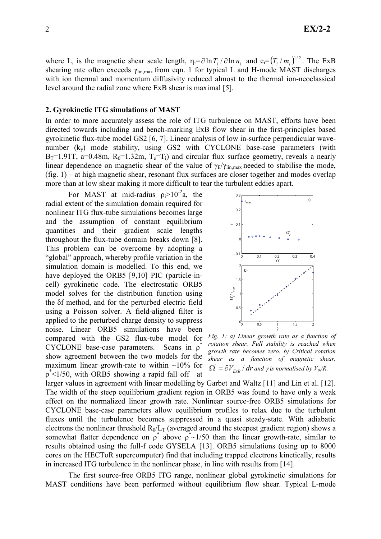where L<sub>s</sub> is the magnetic shear scale length,  $\eta_i = \partial \ln T_i / \partial \ln n_i$  and  $c_i = (T_i / m_i)^{1/2}$ . The ExB shearing rate often exceeds  $\gamma_{lin,max}$  from eqn. 1 for typical L and H-mode MAST discharges with ion thermal and momentum diffusivity reduced almost to the thermal ion-neoclassical level around the radial zone where ExB shear is maximal [5].

### 2. Gyrokinetic ITG simulations of MAST

In order to more accurately assess the role of ITG turbulence on MAST, efforts have been directed towards including and bench-marking ExB flow shear in the first-principles based gyrokinetic flux-tube model GS2 [6, 7]. Linear analysis of low in-surface perpendicular wavenumber  $(k_v)$  mode stability, using GS2 with CYCLONE base-case parameters (with  $B_T=1.91T$ , a=0.48m,  $R_0=1.32m$ ,  $T_e=T_i$ ) and circular flux surface geometry, reveals a nearly linear dependence on magnetic shear of the value of  $\gamma_F/\gamma_{\text{lin max}}$  needed to stabilise the mode, (fig. 1) – at high magnetic shear, resonant flux surfaces are closer together and modes overlap more than at low shear making it more difficult to tear the turbulent eddies apart.

For MAST at mid-radius  $\rho_i > 10^{-2}a$ , the radial extent of the simulation domain required for nonlinear ITG flux-tube simulations becomes large and the assumption of constant equilibrium quantities and their gradient scale lengths throughout the flux-tube domain breaks down [8]. This problem can be overcome by adopting a "global" approach, whereby profile variation in the simulation domain is modelled. To this end, we have deployed the ORB5 [9,10] PIC (particle-incell) gyrokinetic code. The electrostatic ORB5 model solves for the distribution function using the δf method, and for the perturbed electric field using a Poisson solver. A field-aligned filter is applied to the perturbed charge density to suppress noise. Linear ORB5 simulations have been compared with the GS2 flux-tube model for CYCLONE base-case parameters. Scans in ρ<sup>\*</sup> show agreement between the two models for the maximum linear growth-rate to within  $\sim 10\%$  for  $p^*$ <1/50, with ORB5 showing a rapid fall off at



Fig. 1: a) Linear growth rate as a function of rotation shear. Full stability is reached when growth rate becomes zero. b) Critical rotation shear as a function of magnetic shear.  $\Omega^{'} = \partial V_{ExB} / dr$  and  $\gamma$  is normalised by  $V_{th}/R$ .

larger values in agreement with linear modelling by Garbet and Waltz [11] and Lin et al. [12]. The width of the steep equilibrium gradient region in ORB5 was found to have only a weak effect on the normalized linear growth rate. Nonlinear source-free ORB5 simulations for CYCLONE base-case parameters allow equilibrium profiles to relax due to the turbulent fluxes until the turbulence becomes suppressed in a quasi steady-state. With adiabatic electrons the nonlinear threshold  $R_0/L_T$  (averaged around the steepest gradient region) shows a somewhat flatter dependence on  $\rho^*$  above  $\rho^* \sim 1/50$  than the linear growth-rate, similar to results obtained using the full-f code GYSELA [13]. ORB5 simulations (using up to 8000 cores on the HECToR supercomputer) find that including trapped electrons kinetically, results in increased ITG turbulence in the nonlinear phase, in line with results from [14].

The first source-free ORB5 ITG range, nonlinear global gyrokinetic simulations for MAST conditions have been performed without equilibrium flow shear. Typical L-mode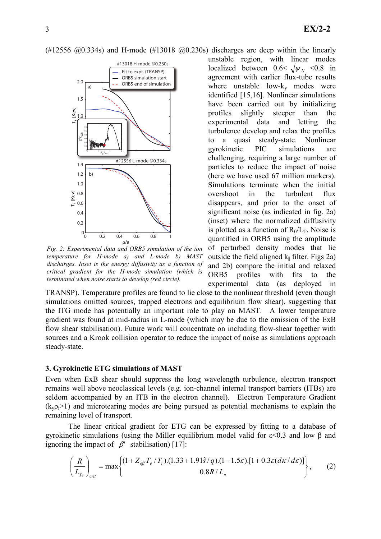(#12556  $\omega(0.334s)$  and H-mode (#13018  $\omega(0.230s)$  discharges are deep within the linearly



Fig. 2: Experimental data and ORB5 simulation of the ion temperature for H-mode a) and L-mode b) MAST discharges. Inset is the energy diffusivity as a function of critical gradient for the H-mode simulation (which is terminated when noise starts to develop (red circle).

unstable region, with linear modes localized between  $0.6 < \sqrt{\psi_{N}}$  <0.8 in agreement with earlier flux-tube results where unstable low- $k_v$  modes were identified [15,16]. Nonlinear simulations have been carried out by initializing profiles slightly steeper than the experimental data and letting the turbulence develop and relax the profiles to a quasi steady-state. Nonlinear gyrokinetic PIC simulations are challenging, requiring a large number of particles to reduce the impact of noise (here we have used 67 million markers). Simulations terminate when the initial overshoot in the turbulent flux disappears, and prior to the onset of significant noise (as indicated in fig. 2a) (inset) where the normalized diffusivity is plotted as a function of  $R_0/L_T$ . Noise is quantified in ORB5 using the amplitude of perturbed density modes that lie outside the field aligned  $k_{\parallel}$  filter. Figs 2a) and 2b) compare the initial and relaxed ORB5 profiles with fits to the experimental data (as deployed in

TRANSP). Temperature profiles are found to lie close to the nonlinear threshold (even though simulations omitted sources, trapped electrons and equilibrium flow shear), suggesting that the ITG mode has potentially an important role to play on MAST. A lower temperature gradient was found at mid-radius in L-mode (which may be due to the omission of the ExB flow shear stabilisation). Future work will concentrate on including flow-shear together with sources and a Krook collision operator to reduce the impact of noise as simulations approach steady-state.

## 3. Gyrokinetic ETG simulations of MAST

Even when ExB shear should suppress the long wavelength turbulence, electron transport remains well above neoclassical levels (e.g. ion-channel internal transport barriers (ITBs) are seldom accompanied by an ITB in the electron channel). Electron Temperature Gradient  $(k_{\nu} \rho_{i} > 1)$  and microtearing modes are being pursued as potential mechanisms to explain the remaining level of transport.

The linear critical gradient for ETG can be expressed by fitting to a database of gyrokinetic simulations (using the Miller equilibrium model valid for ε<0.3 and low β and ignoring the impact of  $\beta'$  stabilisation) [17]:

$$
\left(\frac{R}{L_{Te}}\right)_{crit} = \max \left\{ \frac{(1 + Z_{\text{eff}} T_e / T_i) . (1.33 + 1.91\hat{s} / q) . (1 - 1.5\epsilon) . [1 + 0.3\epsilon (d\kappa / d\epsilon)]}{0.8R / L_n} \right\},
$$
 (2)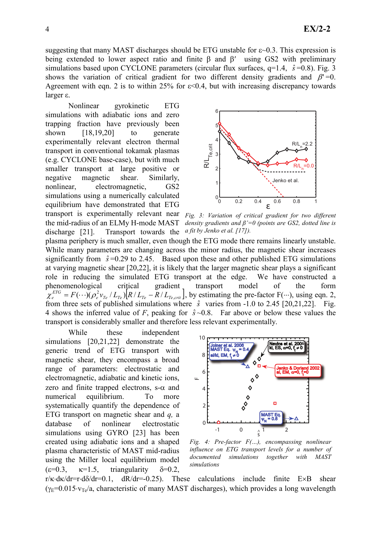suggesting that many MAST discharges should be ETG unstable for  $\varepsilon$  –0.3. This expression is being extended to lower aspect ratio and finite β and β′ using GS2 with preliminary simulations based upon CYCLONE parameters (circular flux surfaces,  $q=1.4$ ,  $\hat{s}=0.8$ ). Fig. 3 shows the variation of critical gradient for two different density gradients and  $\beta' = 0$ . Agreement with eqn. 2 is to within 25% for  $\varepsilon$ <0.4, but with increasing discrepancy towards larger ε.

Nonlinear gyrokinetic ETG simulations with adiabatic ions and zero trapping fraction have previously been shown [18,19,20] to generate experimentally relevant electron thermal transport in conventional tokamak plasmas (e.g. CYCLONE base-case), but with much smaller transport at large positive or negative magnetic shear. Similarly, nonlinear, electromagnetic, GS2 simulations using a numerically calculated equilibrium have demonstrated that ETG transport is experimentally relevant near Fig. 3: Variation of critical gradient for two different the mid-radius of an ELMy H-mode MAST



discharge [21]. Transport towards the density gradients and  $\beta' = 0$  (points are GS2, dotted line is a fit by Jenko et al.  $[17]$ ).

plasma periphery is much smaller, even though the ETG mode there remains linearly unstable. While many parameters are changing across the minor radius, the magnetic shear increases significantly from  $\hat{s} = 0.29$  to 2.45. Based upon these and other published ETG simulations at varying magnetic shear [20,22], it is likely that the larger magnetic shear plays a significant role in reducing the simulated ETG transport at the edge. We have constructed a phenomenological critical gradient transport model of the form  $\chi_e^{ETG} = F(\cdots)(\rho_e^2 v_{Te} / L_{Te}) [R/L_{Te} - R/L_{Te,crit}]$ , by estimating the pre-factor  $F(\cdots)$ , using eqn. 2, from three sets of published simulations where  $\hat{s}$  varies from -1.0 to 2.45 [20,21,22]. Fig. 4 shows the inferred value of F, peaking for  $\hat{s}$  ~0.8. Far above or below these values the transport is considerably smaller and therefore less relevant experimentally.

While these independent simulations [20,21,22] demonstrate the generic trend of ETG transport with magnetic shear, they encompass a broad range of parameters: electrostatic and electromagnetic, adiabatic and kinetic ions, zero and finite trapped electrons,  $s-\alpha$  and numerical equilibrium. To more systematically quantify the dependence of ETG transport on magnetic shear and  $q$ , a database of nonlinear electrostatic simulations using GYRO [23] has been created using adiabatic ions and a shaped plasma characteristic of MAST mid-radius using the Miller local equilibrium model  $(\varepsilon=0.3, \kappa=1.5, \text{triangularity} \delta=0.2,$ 



Fig. 4: Pre-factor  $F(...)$ , encompassing nonlinear influence on ETG transport levels for a number of documented simulations together with MAST simulations

 $r/\kappa \cdot d\kappa/dr = r \cdot d\delta/dr = 0.1$ ,  $dR/dr = -0.25$ ). These calculations include finite E×B shear  $(\gamma_{\rm F}=0.015\cdot v_{\rm Tg}/a)$ , characteristic of many MAST discharges), which provides a long wavelength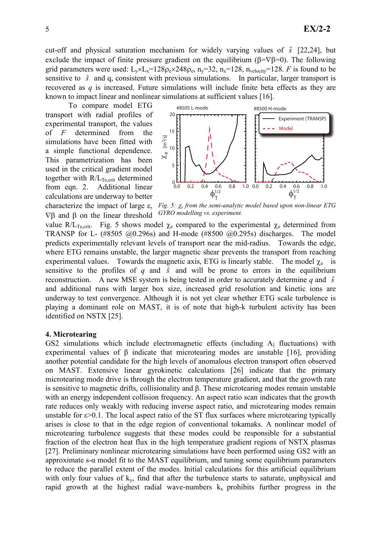cut-off and physical saturation mechanism for widely varying values of  $\hat{s}$  [22,24], but exclude the impact of finite pressure gradient on the equilibrium ( $\beta = \nabla \beta = 0$ ). The following grid parameters were used:  $L_v \times L_x = 128\rho_e \times 248\rho_e$ ,  $n_v = 32$ ,  $n_x = 128$ ,  $n_{velocity} = 128$ . *F* is found to be sensitive to  $\hat{s}$  and q, consistent with previous simulations. In particular, larger transport is recovered as  $q$  is increased. Future simulations will include finite beta effects as they are known to impact linear and nonlinear simulations at sufficient values [16].

To compare model ETG transport with radial profiles of experimental transport, the values of  $F$  determined from the simulations have been fitted with a simple functional dependence. This parametrization has been used in the critical gradient model together with  $R/L_{Te,crit}$  determined from eqn. 2. Additional linear calculations are underway to better characterize the impact of large ε,  $∇β$  and  $β$  on the linear threshold



Fig. 5:  $\chi_e$  from the semi-analytic model based upon non-linear ETG GYRO modelling vs. experiment.

value R/L<sub>Te,crit</sub>. Fig. 5 shows model  $\chi_e$  compared to the experimental  $\chi_e$  determined from TRANSP for L- (#8505 @0.296s) and H-mode (#8500 @0.295s) discharges. The model predicts experimentally relevant levels of transport near the mid-radius. Towards the edge, where ETG remains unstable, the larger magnetic shear prevents the transport from reaching experimental values. Towards the magnetic axis, ETG is linearly stable. The model  $\chi_e$  is sensitive to the profiles of q and  $\hat{s}$  and will be prone to errors in the equilibrium reconstruction. A new MSE system is being tested in order to accurately determine q and  $\hat{s}$ and additional runs with larger box size, increased grid resolution and kinetic ions are underway to test convergence. Although it is not yet clear whether ETG scale turbulence is playing a dominant role on MAST, it is of note that high-k turbulent activity has been identified on NSTX [25].

### 4. Microtearing

GS2 simulations which include electromagnetic effects (including  $A_{\parallel}$  fluctuations) with experimental values of  $\beta$  indicate that microtearing modes are unstable [16], providing another potential candidate for the high levels of anomalous electron transport often observed on MAST. Extensive linear gyrokinetic calculations [26] indicate that the primary microtearing mode drive is through the electron temperature gradient, and that the growth rate is sensitive to magnetic drifts, collisionality and β. These microtearing modes remain unstable with an energy independent collision frequency. An aspect ratio scan indicates that the growth rate reduces only weakly with reducing inverse aspect ratio, and microtearing modes remain unstable for  $\varepsilon$  >0.1. The local aspect ratio of the ST flux surfaces where microtearing typically arises is close to that in the edge region of conventional tokamaks. A nonlinear model of microtearing turbulence suggests that these modes could be responsible for a substantial fraction of the electron heat flux in the high temperature gradient regions of NSTX plasmas [27]. Preliminary nonlinear microtearing simulations have been performed using GS2 with an approximate s- $\alpha$  model fit to the MAST equilibrium, and tuning some equilibrium parameters to reduce the parallel extent of the modes. Initial calculations for this artificial equilibrium with only four values of  $k_y$ , find that after the turbulence starts to saturate, unphysical and rapid growth at the highest radial wave-numbers  $k_x$  prohibits further progress in the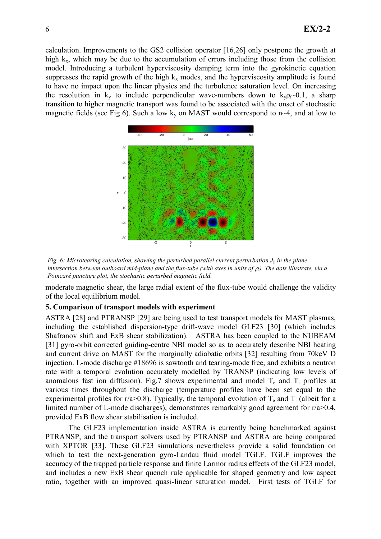calculation. Improvements to the GS2 collision operator [16,26] only postpone the growth at high  $k_x$ , which may be due to the accumulation of errors including those from the collision model. Introducing a turbulent hyperviscosity damping term into the gyrokinetic equation suppresses the rapid growth of the high  $k_x$  modes, and the hyperviscosity amplitude is found to have no impact upon the linear physics and the turbulence saturation level. On increasing the resolution in  $k_y$  to include perpendicular wave-numbers down to  $k_v \rho_i \sim 0.1$ , a sharp transition to higher magnetic transport was found to be associated with the onset of stochastic magnetic fields (see Fig 6). Such a low  $k_y$  on MAST would correspond to n~4, and at low to



Fig. 6: Microtearing calculation, showing the perturbed parallel current perturbation  $J_{\parallel}$  in the plane intersection between outboard mid-plane and the flux-tube (with axes in units of  $\rho_i$ ). The dots illustrate, via a Poincaré puncture plot, the stochastic perturbed magnetic field.

moderate magnetic shear, the large radial extent of the flux-tube would challenge the validity of the local equilibrium model.

### 5. Comparison of transport models with experiment

ASTRA [28] and PTRANSP [29] are being used to test transport models for MAST plasmas, including the established dispersion-type drift-wave model GLF23 [30] (which includes Shafranov shift and ExB shear stabilization). ASTRA has been coupled to the NUBEAM [31] gyro-orbit corrected guiding-centre NBI model so as to accurately describe NBI heating and current drive on MAST for the marginally adiabatic orbits [32] resulting from 70keV D injection. L-mode discharge #18696 is sawtooth and tearing-mode free, and exhibits a neutron rate with a temporal evolution accurately modelled by TRANSP (indicating low levels of anomalous fast ion diffusion). Fig.7 shows experimental and model  $T_e$  and  $T_i$  profiles at various times throughout the discharge (temperature profiles have been set equal to the experimental profiles for r/a>0.8). Typically, the temporal evolution of  $T_e$  and  $T_i$  (albeit for a limited number of L-mode discharges), demonstrates remarkably good agreement for r/a>0.4, provided ExB flow shear stabilisation is included.

The GLF23 implementation inside ASTRA is currently being benchmarked against PTRANSP, and the transport solvers used by PTRANSP and ASTRA are being compared with XPTOR [33]. These GLF23 simulations nevertheless provide a solid foundation on which to test the next-generation gyro-Landau fluid model TGLF. TGLF improves the accuracy of the trapped particle response and finite Larmor radius effects of the GLF23 model, and includes a new ExB shear quench rule applicable for shaped geometry and low aspect ratio, together with an improved quasi-linear saturation model. First tests of TGLF for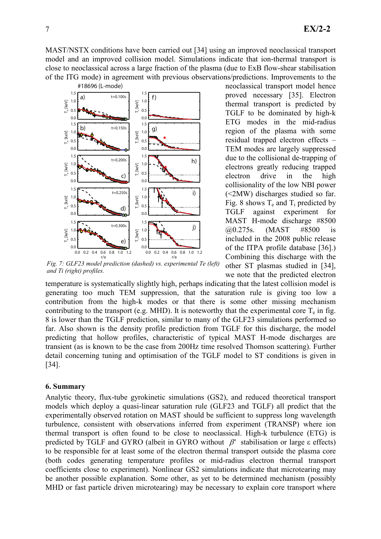MAST/NSTX conditions have been carried out [34] using an improved neoclassical transport model and an improved collision model. Simulations indicate that ion-thermal transport is close to neoclassical across a large fraction of the plasma (due to ExB flow-shear stabilisation of the ITG mode) in agreement with previous observations/predictions. Improvements to the



Fig. 7: GLF23 model prediction (dashed) vs. experimental Te (left) and Ti (right) profiles.

neoclassical transport model hence proved necessary [35]. Electron thermal transport is predicted by TGLF to be dominated by high-k ETG modes in the mid-radius region of the plasma with some residual trapped electron effects – TEM modes are largely suppressed due to the collisional de-trapping of electrons greatly reducing trapped electron drive in the high collisionality of the low NBI power (<2MW) discharges studied so far. Fig. 8 shows  $T_e$  and  $T_i$  predicted by TGLF against experiment for MAST H-mode discharge #8500 @0.275s. (MAST #8500 is included in the 2008 public release of the ITPA profile database [36].) Combining this discharge with the other ST plasmas studied in [34], we note that the predicted electron

temperature is systematically slightly high, perhaps indicating that the latest collision model is generating too much TEM suppression, that the saturation rule is giving too low a contribution from the high-k modes or that there is some other missing mechanism contributing to the transport (e.g. MHD). It is noteworthy that the experimental core  $T_e$  in fig. 8 is lower than the TGLF prediction, similar to many of the GLF23 simulations performed so far. Also shown is the density profile prediction from TGLF for this discharge, the model predicting that hollow profiles, characteristic of typical MAST H-mode discharges are transient (as is known to be the case from 200Hz time resolved Thomson scattering). Further detail concerning tuning and optimisation of the TGLF model to ST conditions is given in [34].

### 6. Summary

Analytic theory, flux-tube gyrokinetic simulations (GS2), and reduced theoretical transport models which deploy a quasi-linear saturation rule (GLF23 and TGLF) all predict that the experimentally observed rotation on MAST should be sufficient to suppress long wavelength turbulence, consistent with observations inferred from experiment (TRANSP) where ion thermal transport is often found to be close to neoclassical. High-k turbulence (ETG) is predicted by TGLF and GYRO (albeit in GYRO without  $\beta'$  stabilisation or large  $\varepsilon$  effects) to be responsible for at least some of the electron thermal transport outside the plasma core (both codes generating temperature profiles or mid-radius electron thermal transport coefficients close to experiment). Nonlinear GS2 simulations indicate that microtearing may be another possible explanation. Some other, as yet to be determined mechanism (possibly MHD or fast particle driven microtearing) may be necessary to explain core transport where